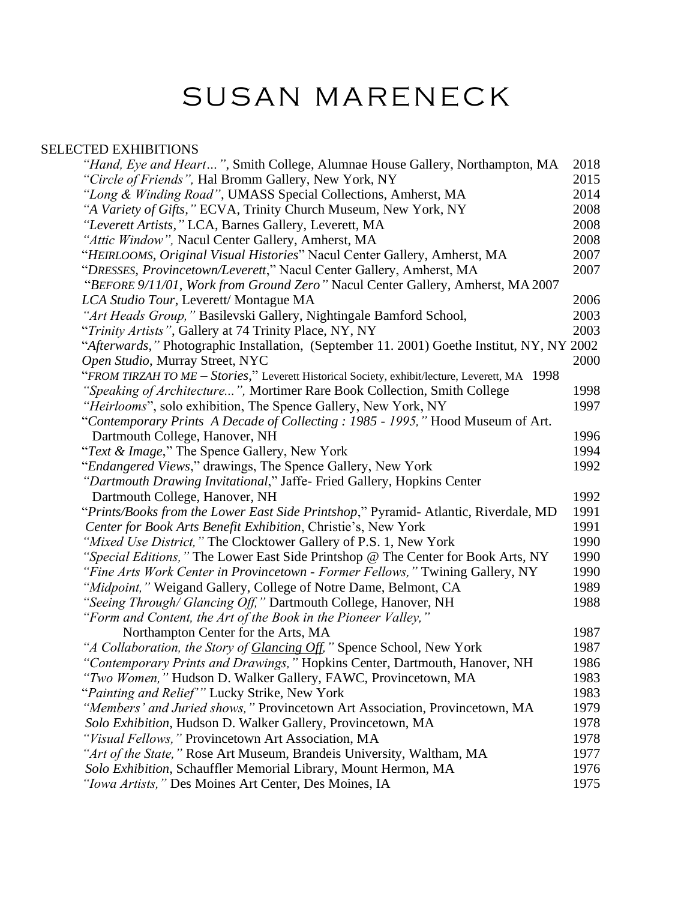# SUSAN MARENECK

# SELECTED EXHIBITIONS

| "Hand, Eye and Heart", Smith College, Alumnae House Gallery, Northampton, MA                   | 2018 |
|------------------------------------------------------------------------------------------------|------|
| "Circle of Friends", Hal Bromm Gallery, New York, NY                                           | 2015 |
| "Long & Winding Road", UMASS Special Collections, Amherst, MA                                  | 2014 |
| "A Variety of Gifts, " ECVA, Trinity Church Museum, New York, NY                               | 2008 |
| "Leverett Artists, " LCA, Barnes Gallery, Leverett, MA                                         | 2008 |
| "Attic Window", Nacul Center Gallery, Amherst, MA                                              | 2008 |
| "HEIRLOOMS, Original Visual Histories" Nacul Center Gallery, Amherst, MA                       | 2007 |
| "DRESSES, Provincetown/Leverett," Nacul Center Gallery, Amherst, MA                            | 2007 |
| "BEFORE 9/11/01, Work from Ground Zero" Nacul Center Gallery, Amherst, MA 2007                 |      |
| LCA Studio Tour, Leverett/ Montague MA                                                         | 2006 |
| "Art Heads Group," Basilevski Gallery, Nightingale Bamford School,                             | 2003 |
| "Trinity Artists", Gallery at 74 Trinity Place, NY, NY                                         | 2003 |
| "Afterwards," Photographic Installation, (September 11. 2001) Goethe Institut, NY, NY 2002     |      |
| Open Studio, Murray Street, NYC                                                                | 2000 |
| "FROM TIRZAH TO ME – Stories," Leverett Historical Society, exhibit/lecture, Leverett, MA 1998 |      |
| "Speaking of Architecture", Mortimer Rare Book Collection, Smith College                       | 1998 |
| "Heirlooms", solo exhibition, The Spence Gallery, New York, NY                                 | 1997 |
| "Contemporary Prints A Decade of Collecting : 1985 - 1995," Hood Museum of Art.                |      |
| Dartmouth College, Hanover, NH                                                                 | 1996 |
| "Text & Image," The Spence Gallery, New York                                                   | 1994 |
| "Endangered Views," drawings, The Spence Gallery, New York                                     | 1992 |
| "Dartmouth Drawing Invitational," Jaffe- Fried Gallery, Hopkins Center                         |      |
| Dartmouth College, Hanover, NH                                                                 | 1992 |
| "Prints/Books from the Lower East Side Printshop," Pyramid- Atlantic, Riverdale, MD            | 1991 |
| Center for Book Arts Benefit Exhibition, Christie's, New York                                  | 1991 |
| "Mixed Use District," The Clocktower Gallery of P.S. 1, New York                               | 1990 |
| "Special Editions," The Lower East Side Printshop @ The Center for Book Arts, NY               | 1990 |
| "Fine Arts Work Center in Provincetown - Former Fellows," Twining Gallery, NY                  | 1990 |
| "Midpoint," Weigand Gallery, College of Notre Dame, Belmont, CA                                | 1989 |
| "Seeing Through/ Glancing Off," Dartmouth College, Hanover, NH                                 | 1988 |
| "Form and Content, the Art of the Book in the Pioneer Valley,"                                 |      |
| Northampton Center for the Arts, MA                                                            | 1987 |
| "A Collaboration, the Story of <b>Glancing Off</b> ," Spence School, New York                  | 1987 |
| "Contemporary Prints and Drawings," Hopkins Center, Dartmouth, Hanover, NH                     | 1986 |
| "Two Women," Hudson D. Walker Gallery, FAWC, Provincetown, MA                                  | 1983 |
| "Painting and Relief"" Lucky Strike, New York                                                  | 1983 |
| "Members' and Juried shows," Provincetown Art Association, Provincetown, MA                    | 1979 |
| Solo Exhibition, Hudson D. Walker Gallery, Provincetown, MA                                    | 1978 |
| "Visual Fellows," Provincetown Art Association, MA                                             | 1978 |
| "Art of the State," Rose Art Museum, Brandeis University, Waltham, MA                          | 1977 |
| Solo Exhibition, Schauffler Memorial Library, Mount Hermon, MA                                 | 1976 |
| "Iowa Artists," Des Moines Art Center, Des Moines, IA                                          | 1975 |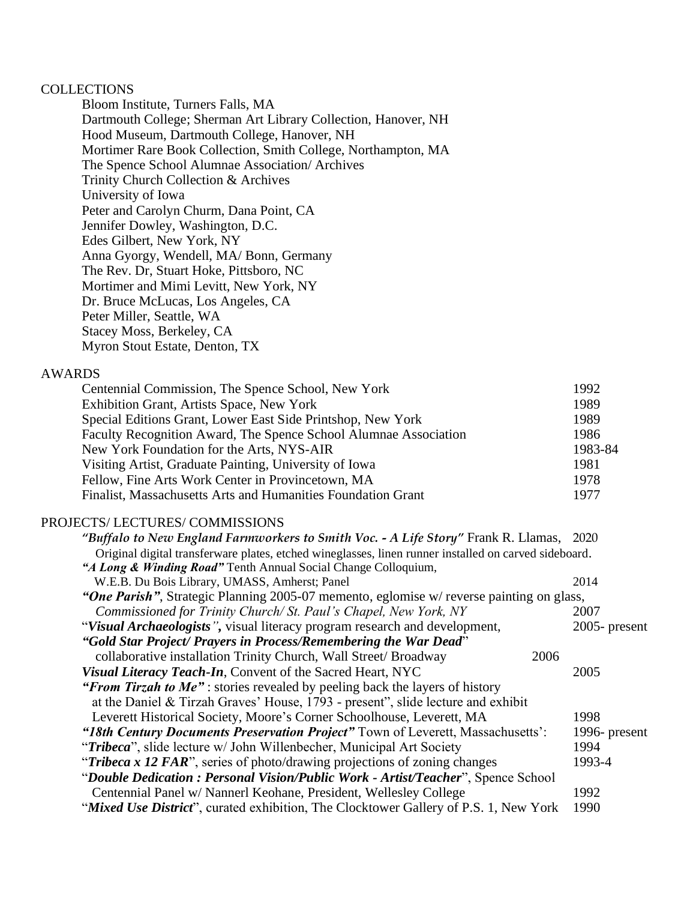### **COLLECTIONS**

Bloom Institute, Turners Falls, MA Dartmouth College; Sherman Art Library Collection, Hanover, NH Hood Museum, Dartmouth College, Hanover, NH Mortimer Rare Book Collection, Smith College, Northampton, MA The Spence School Alumnae Association/ Archives Trinity Church Collection & Archives University of Iowa Peter and Carolyn Churm, Dana Point, CA Jennifer Dowley, Washington, D.C. Edes Gilbert, New York, NY Anna Gyorgy, Wendell, MA/ Bonn, Germany The Rev. Dr, Stuart Hoke, Pittsboro, NC Mortimer and Mimi Levitt, New York, NY Dr. Bruce McLucas, Los Angeles, CA Peter Miller, Seattle, WA Stacey Moss, Berkeley, CA Myron Stout Estate, Denton, TX

## AWARDS

| Centennial Commission, The Spence School, New York               | 1992    |
|------------------------------------------------------------------|---------|
| Exhibition Grant, Artists Space, New York                        | 1989    |
| Special Editions Grant, Lower East Side Printshop, New York      | 1989    |
| Faculty Recognition Award, The Spence School Alumnae Association | 1986    |
| New York Foundation for the Arts, NYS-AIR                        | 1983-84 |
| Visiting Artist, Graduate Painting, University of Iowa           | 1981    |
| Fellow, Fine Arts Work Center in Provincetown, MA                | 1978    |
| Finalist, Massachusetts Arts and Humanities Foundation Grant     | 1977    |

#### PROJECTS/ LECTURES/ COMMISSIONS

| "Buffalo to New England Farmworkers to Smith Voc. - A Life Story" Frank R. Llamas, 2020               |                  |
|-------------------------------------------------------------------------------------------------------|------------------|
| Original digital transferware plates, etched wineglasses, linen runner installed on carved sideboard. |                  |
| "A Long & Winding Road" Tenth Annual Social Change Colloquium,                                        |                  |
| W.E.B. Du Bois Library, UMASS, Amherst; Panel                                                         | 2014             |
| "One Parish", Strategic Planning 2005-07 memento, eglomise w/ reverse painting on glass,              |                  |
| Commissioned for Trinity Church/St. Paul's Chapel, New York, NY                                       | 2007             |
| "Visual Archaeologists", visual literacy program research and development,                            | $2005$ - present |
| "Gold Star Project/ Prayers in Process/Remembering the War Dead"                                      |                  |
| collaborative installation Trinity Church, Wall Street/ Broadway                                      | 2006             |
| Visual Literacy Teach-In, Convent of the Sacred Heart, NYC                                            | 2005             |
| "From Tirzah to Me": stories revealed by peeling back the layers of history                           |                  |
| at the Daniel & Tirzah Graves' House, 1793 - present", slide lecture and exhibit                      |                  |
| Leverett Historical Society, Moore's Corner Schoolhouse, Leverett, MA                                 | 1998             |
| "18th Century Documents Preservation Project" Town of Leverett, Massachusetts':                       | 1996- present    |
| "Tribeca", slide lecture w/ John Willenbecher, Municipal Art Society                                  | 1994             |
| "Tribeca x 12 FAR", series of photo/drawing projections of zoning changes                             | 1993-4           |
| "Double Dedication: Personal Vision/Public Work - Artist/Teacher", Spence School                      |                  |
| Centennial Panel w/ Nannerl Keohane, President, Wellesley College                                     | 1992             |
| "Mixed Use District", curated exhibition, The Clocktower Gallery of P.S. 1, New York                  | 1990             |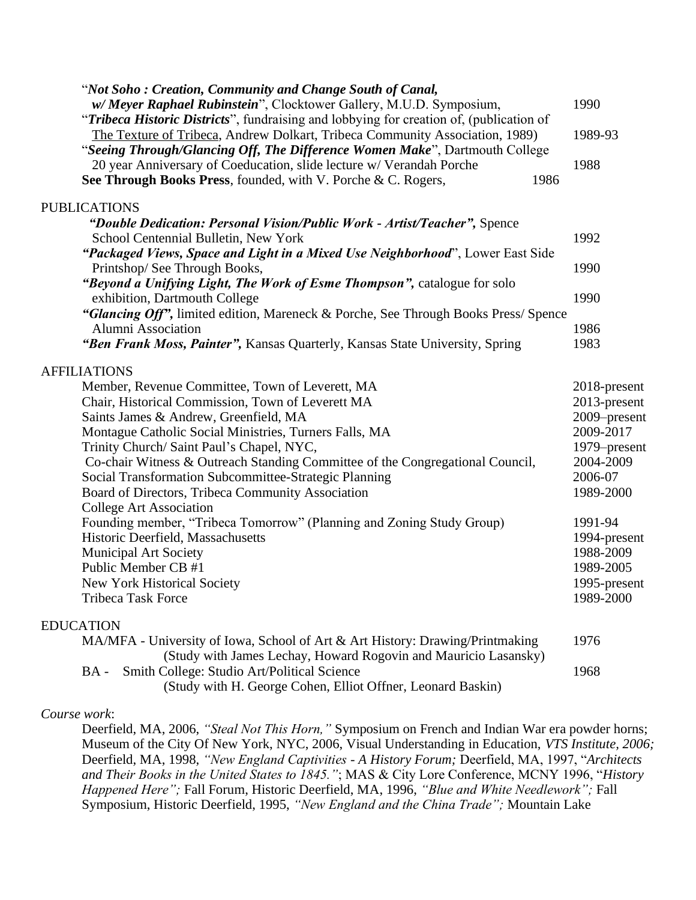| "Not Soho: Creation, Community and Change South of Canal,<br>w/ Meyer Raphael Rubinstein", Clocktower Gallery, M.U.D. Symposium,                                                                                                                                                                                                                                                                                                                                                                                                                                                                                                                                                                                                      | 1990                                                                                                                                                                                             |
|---------------------------------------------------------------------------------------------------------------------------------------------------------------------------------------------------------------------------------------------------------------------------------------------------------------------------------------------------------------------------------------------------------------------------------------------------------------------------------------------------------------------------------------------------------------------------------------------------------------------------------------------------------------------------------------------------------------------------------------|--------------------------------------------------------------------------------------------------------------------------------------------------------------------------------------------------|
| "Tribeca Historic Districts", fundraising and lobbying for creation of, (publication of<br>The Texture of Tribeca, Andrew Dolkart, Tribeca Community Association, 1989)                                                                                                                                                                                                                                                                                                                                                                                                                                                                                                                                                               | 1989-93                                                                                                                                                                                          |
| "Seeing Through/Glancing Off, The Difference Women Make", Dartmouth College<br>20 year Anniversary of Coeducation, slide lecture w/ Verandah Porche                                                                                                                                                                                                                                                                                                                                                                                                                                                                                                                                                                                   | 1988                                                                                                                                                                                             |
| See Through Books Press, founded, with V. Porche & C. Rogers,<br>1986                                                                                                                                                                                                                                                                                                                                                                                                                                                                                                                                                                                                                                                                 |                                                                                                                                                                                                  |
| <b>PUBLICATIONS</b>                                                                                                                                                                                                                                                                                                                                                                                                                                                                                                                                                                                                                                                                                                                   |                                                                                                                                                                                                  |
| "Double Dedication: Personal Vision/Public Work - Artist/Teacher", Spence<br>School Centennial Bulletin, New York                                                                                                                                                                                                                                                                                                                                                                                                                                                                                                                                                                                                                     | 1992                                                                                                                                                                                             |
| "Packaged Views, Space and Light in a Mixed Use Neighborhood", Lower East Side<br>Printshop/ See Through Books,                                                                                                                                                                                                                                                                                                                                                                                                                                                                                                                                                                                                                       | 1990                                                                                                                                                                                             |
| "Beyond a Unifying Light, The Work of Esme Thompson", catalogue for solo<br>exhibition, Dartmouth College                                                                                                                                                                                                                                                                                                                                                                                                                                                                                                                                                                                                                             | 1990                                                                                                                                                                                             |
| "Glancing Off", limited edition, Mareneck & Porche, See Through Books Press/Spence<br><b>Alumni Association</b><br>"Ben Frank Moss, Painter", Kansas Quarterly, Kansas State University, Spring                                                                                                                                                                                                                                                                                                                                                                                                                                                                                                                                       | 1986<br>1983                                                                                                                                                                                     |
|                                                                                                                                                                                                                                                                                                                                                                                                                                                                                                                                                                                                                                                                                                                                       |                                                                                                                                                                                                  |
| <b>AFFILIATIONS</b><br>Member, Revenue Committee, Town of Leverett, MA<br>Chair, Historical Commission, Town of Leverett MA<br>Saints James & Andrew, Greenfield, MA<br>Montague Catholic Social Ministries, Turners Falls, MA<br>Trinity Church/Saint Paul's Chapel, NYC,<br>Co-chair Witness & Outreach Standing Committee of the Congregational Council,<br>Social Transformation Subcommittee-Strategic Planning<br>Board of Directors, Tribeca Community Association<br>College Art Association<br>Founding member, "Tribeca Tomorrow" (Planning and Zoning Study Group)<br>Historic Deerfield, Massachusetts<br><b>Municipal Art Society</b><br>Public Member CB #1<br>New York Historical Society<br><b>Tribeca Task Force</b> | 2018-present<br>2013-present<br>2009-present<br>2009-2017<br>1979–present<br>2004-2009<br>2006-07<br>1989-2000<br>1991-94<br>1994-present<br>1988-2009<br>1989-2005<br>1995-present<br>1989-2000 |
| <b>EDUCATION</b>                                                                                                                                                                                                                                                                                                                                                                                                                                                                                                                                                                                                                                                                                                                      |                                                                                                                                                                                                  |
| MA/MFA - University of Iowa, School of Art & Art History: Drawing/Printmaking<br>(Study with James Lechay, Howard Rogovin and Mauricio Lasansky)                                                                                                                                                                                                                                                                                                                                                                                                                                                                                                                                                                                      | 1976                                                                                                                                                                                             |
| Smith College: Studio Art/Political Science<br>$BA -$<br>(Study with H. George Cohen, Elliot Offner, Leonard Baskin)                                                                                                                                                                                                                                                                                                                                                                                                                                                                                                                                                                                                                  | 1968                                                                                                                                                                                             |

#### *Course work*:

Deerfield, MA, 2006, *"Steal Not This Horn,"* Symposium on French and Indian War era powder horns; Museum of the City Of New York, NYC, 2006, Visual Understanding in Education, *VTS Institute, 2006;*  Deerfield, MA, 1998, *"New England Captivities - A History Forum;* Deerfield, MA, 1997, "*Architects and Their Books in the United States to 1845."*; MAS & City Lore Conference, MCNY 1996, "*History Happened Here";* Fall Forum, Historic Deerfield, MA, 1996, *"Blue and White Needlework";* Fall Symposium, Historic Deerfield, 1995, *"New England and the China Trade";* Mountain Lake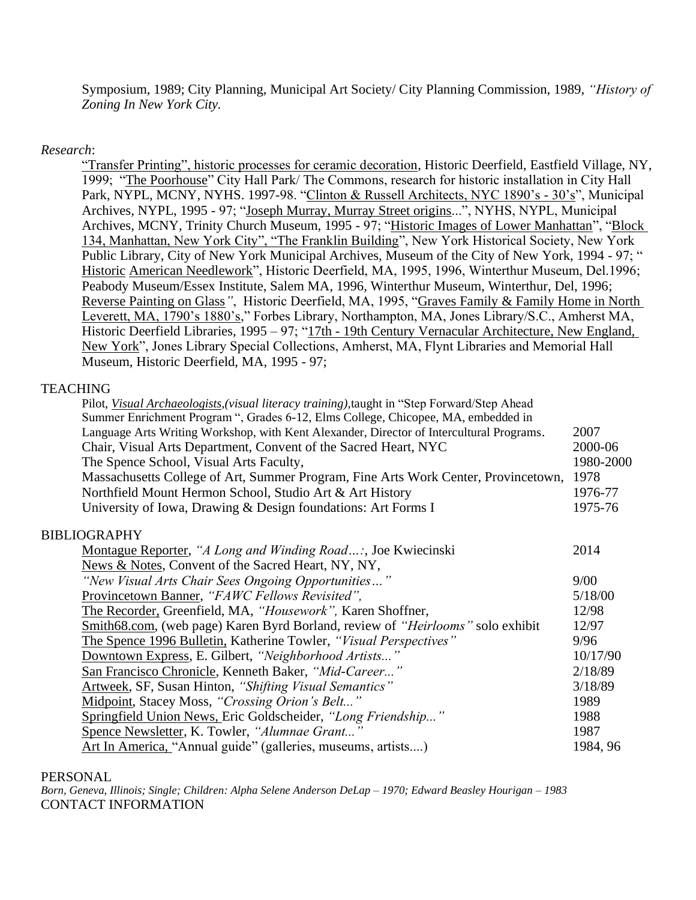Symposium, 1989; City Planning, Municipal Art Society/ City Planning Commission, 1989, *"History of Zoning In New York City.*

## *Research*:

"Transfer Printing", historic processes for ceramic decoration, Historic Deerfield, Eastfield Village, NY, 1999; "The Poorhouse" City Hall Park/ The Commons, research for historic installation in City Hall Park, NYPL, MCNY, NYHS. 1997-98. "Clinton & Russell Architects, NYC 1890's - 30's", Municipal Archives, NYPL, 1995 - 97; "Joseph Murray, Murray Street origins...", NYHS, NYPL, Municipal Archives, MCNY, Trinity Church Museum, 1995 - 97; "Historic Images of Lower Manhattan", "Block 134, Manhattan, New York City", "The Franklin Building", New York Historical Society, New York Public Library, City of New York Municipal Archives, Museum of the City of New York, 1994 - 97; " Historic American Needlework", Historic Deerfield, MA, 1995, 1996, Winterthur Museum, Del.1996; Peabody Museum/Essex Institute, Salem MA, 1996, Winterthur Museum, Winterthur, Del, 1996; Reverse Painting on Glass*"*, Historic Deerfield, MA, 1995, "Graves Family & Family Home in North Leverett, MA, 1790's 1880's," Forbes Library, Northampton, MA, Jones Library/S.C., Amherst MA, Historic Deerfield Libraries, 1995 – 97; "17th - 19th Century Vernacular Architecture, New England, New York", Jones Library Special Collections, Amherst, MA, Flynt Libraries and Memorial Hall Museum, Historic Deerfield, MA, 1995 - 97;

## **TEACHING**

| Summer Enrichment Program ", Grades 6-12, Elms College, Chicopee, MA, embedded in        |           |
|------------------------------------------------------------------------------------------|-----------|
| Language Arts Writing Workshop, with Kent Alexander, Director of Intercultural Programs. | 2007      |
| Chair, Visual Arts Department, Convent of the Sacred Heart, NYC                          | 2000-06   |
| The Spence School, Visual Arts Faculty,                                                  | 1980-2000 |
| Massachusetts College of Art, Summer Program, Fine Arts Work Center, Provincetown,       | 1978      |
| Northfield Mount Hermon School, Studio Art & Art History                                 | 1976-77   |
| University of Iowa, Drawing & Design foundations: Art Forms I                            | 1975-76   |
| <b>BIBLIOGRAPHY</b>                                                                      |           |
| Montague Reporter, "A Long and Winding Road:, Joe Kwiecinski                             | 2014      |
| News & Notes, Convent of the Sacred Heart, NY, NY,                                       |           |
| "New Visual Arts Chair Sees Ongoing Opportunities"                                       | 9/00      |
| Provincetown Banner, "FAWC Fellows Revisited",                                           | 5/18/00   |
| The Recorder, Greenfield, MA, "Housework", Karen Shoffner,                               | 12/98     |
| Smith68.com, (web page) Karen Byrd Borland, review of " <i>Heirlooms</i> " solo exhibit  | 12/97     |
| The Spence 1996 Bulletin, Katherine Towler, "Visual Perspectives"                        | 9/96      |
| Downtown Express, E. Gilbert, "Neighborhood Artists"                                     | 10/17/90  |
| San Francisco Chronicle, Kenneth Baker, "Mid-Career"                                     | 2/18/89   |
| Artweek, SF, Susan Hinton, "Shifting Visual Semantics"                                   | 3/18/89   |
| Midpoint, Stacey Moss, "Crossing Orion's Belt"                                           | 1989      |
| Springfield Union News, Eric Goldscheider, "Long Friendship"                             | 1988      |
| Spence Newsletter, K. Towler, "Alumnae Grant"                                            | 1987      |
| Art In America, "Annual guide" (galleries, museums, artists)                             | 1984, 96  |

#### PERSONAL

*Born, Geneva, Illinois; Single; Children: Alpha Selene Anderson DeLap – 1970; Edward Beasley Hourigan – 1983* CONTACT INFORMATION